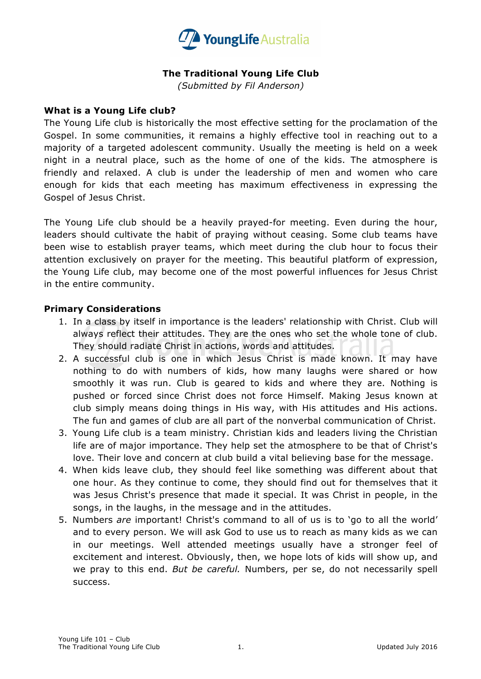

# **The Traditional Young Life Club**

*(Submitted by Fil Anderson)*

#### **What is a Young Life club?**

The Young Life club is historically the most effective setting for the proclamation of the Gospel. In some communities, it remains a highly effective tool in reaching out to a majority of a targeted adolescent community. Usually the meeting is held on a week night in a neutral place, such as the home of one of the kids. The atmosphere is friendly and relaxed. A club is under the leadership of men and women who care enough for kids that each meeting has maximum effectiveness in expressing the Gospel of Jesus Christ.

The Young Life club should be a heavily prayed-for meeting. Even during the hour, leaders should cultivate the habit of praying without ceasing. Some club teams have been wise to establish prayer teams, which meet during the club hour to focus their attention exclusively on prayer for the meeting. This beautiful platform of expression, the Young Life club, may become one of the most powerful influences for Jesus Christ in the entire community.

## **Primary Considerations**

- 1. In a class by itself in importance is the leaders' relationship with Christ. Club will always reflect their attitudes. They are the ones who set the whole tone of club. They should radiate Christ in actions, words and attitudes.
- 2. A successful club is one in which Jesus Christ is made known. It may have nothing to do with numbers of kids, how many laughs were shared or how smoothly it was run. Club is geared to kids and where they are. Nothing is pushed or forced since Christ does not force Himself. Making Jesus known at club simply means doing things in His way, with His attitudes and His actions. The fun and games of club are all part of the nonverbal communication of Christ.
- 3. Young Life club is a team ministry. Christian kids and leaders living the Christian life are of major importance. They help set the atmosphere to be that of Christ's love. Their love and concern at club build a vital believing base for the message.
- 4. When kids leave club, they should feel like something was different about that one hour. As they continue to come, they should find out for themselves that it was Jesus Christ's presence that made it special. It was Christ in people, in the songs, in the laughs, in the message and in the attitudes.
- 5. Numbers *are* important! Christ's command to all of us is to 'go to all the world' and to every person. We will ask God to use us to reach as many kids as we can in our meetings. Well attended meetings usually have a stronger feel of excitement and interest. Obviously, then, we hope lots of kids will show up, and we pray to this end. *But be careful.* Numbers, per se, do not necessarily spell success.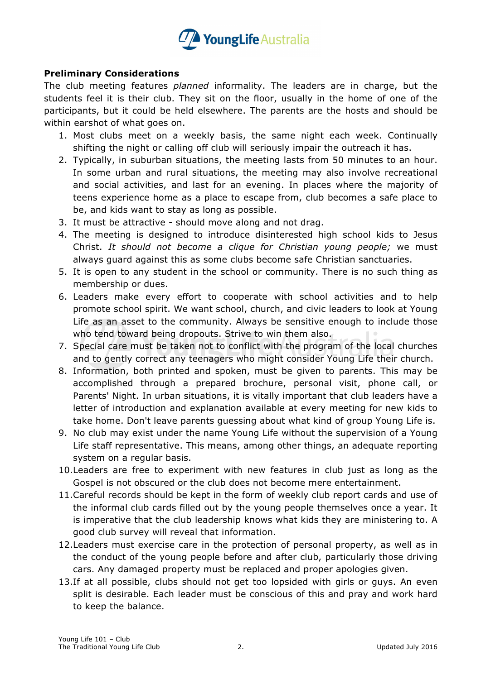

# **Preliminary Considerations**

The club meeting features *planned* informality. The leaders are in charge, but the students feel it is their club. They sit on the floor, usually in the home of one of the participants, but it could be held elsewhere. The parents are the hosts and should be within earshot of what goes on.

- 1. Most clubs meet on a weekly basis, the same night each week. Continually shifting the night or calling off club will seriously impair the outreach it has.
- 2. Typically, in suburban situations, the meeting lasts from 50 minutes to an hour. In some urban and rural situations, the meeting may also involve recreational and social activities, and last for an evening. In places where the majority of teens experience home as a place to escape from, club becomes a safe place to be, and kids want to stay as long as possible.
- 3. It must be attractive should move along and not drag.
- 4. The meeting is designed to introduce disinterested high school kids to Jesus Christ. *It should not become a clique for Christian young people;* we must always guard against this as some clubs become safe Christian sanctuaries.
- 5. It is open to any student in the school or community. There is no such thing as membership or dues.
- 6. Leaders make every effort to cooperate with school activities and to help promote school spirit. We want school, church, and civic leaders to look at Young Life as an asset to the community. Always be sensitive enough to include those who tend toward being dropouts. Strive to win them also.
- 7. Special care must be taken not to conflict with the program of the local churches and to gently correct any teenagers who might consider Young Life their church.
- 8. Information, both printed and spoken, must be given to parents. This may be accomplished through a prepared brochure, personal visit, phone call, or Parents' Night. In urban situations, it is vitally important that club leaders have a letter of introduction and explanation available at every meeting for new kids to take home. Don't leave parents guessing about what kind of group Young Life is.
- 9. No club may exist under the name Young Life without the supervision of a Young Life staff representative. This means, among other things, an adequate reporting system on a regular basis.
- 10.Leaders are free to experiment with new features in club just as long as the Gospel is not obscured or the club does not become mere entertainment.
- 11.Careful records should be kept in the form of weekly club report cards and use of the informal club cards filled out by the young people themselves once a year. It is imperative that the club leadership knows what kids they are ministering to. A good club survey will reveal that information.
- 12.Leaders must exercise care in the protection of personal property, as well as in the conduct of the young people before and after club, particularly those driving cars. Any damaged property must be replaced and proper apologies given.
- 13.If at all possible, clubs should not get too lopsided with girls or guys. An even split is desirable. Each leader must be conscious of this and pray and work hard to keep the balance.